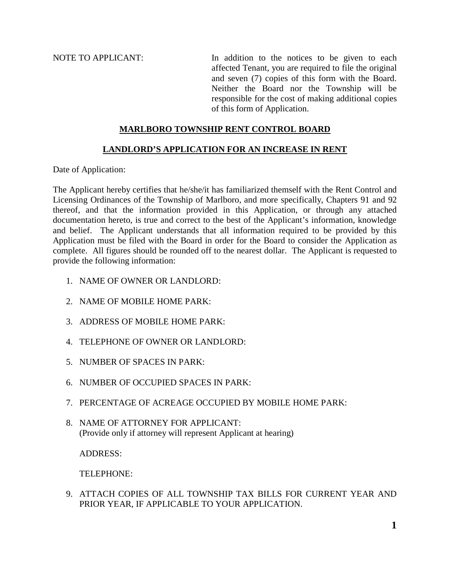NOTE TO APPLICANT: In addition to the notices to be given to each affected Tenant, you are required to file the original and seven (7) copies of this form with the Board. Neither the Board nor the Township will be responsible for the cost of making additional copies of this form of Application.

## **MARLBORO TOWNSHIP RENT CONTROL BOARD**

## **LANDLORD'S APPLICATION FOR AN INCREASE IN RENT**

Date of Application:

The Applicant hereby certifies that he/she/it has familiarized themself with the Rent Control and Licensing Ordinances of the Township of Marlboro, and more specifically, Chapters 91 and 92 thereof, and that the information provided in this Application, or through any attached documentation hereto, is true and correct to the best of the Applicant's information, knowledge and belief. The Applicant understands that all information required to be provided by this Application must be filed with the Board in order for the Board to consider the Application as complete. All figures should be rounded off to the nearest dollar. The Applicant is requested to provide the following information:

- 1. NAME OF OWNER OR LANDLORD:
- 2. NAME OF MOBILE HOME PARK:
- 3. ADDRESS OF MOBILE HOME PARK:
- 4. TELEPHONE OF OWNER OR LANDLORD:
- 5. NUMBER OF SPACES IN PARK:
- 6. NUMBER OF OCCUPIED SPACES IN PARK:
- 7. PERCENTAGE OF ACREAGE OCCUPIED BY MOBILE HOME PARK:
- 8. NAME OF ATTORNEY FOR APPLICANT: (Provide only if attorney will represent Applicant at hearing)

ADDRESS:

TELEPHONE:

9. ATTACH COPIES OF ALL TOWNSHIP TAX BILLS FOR CURRENT YEAR AND PRIOR YEAR, IF APPLICABLE TO YOUR APPLICATION.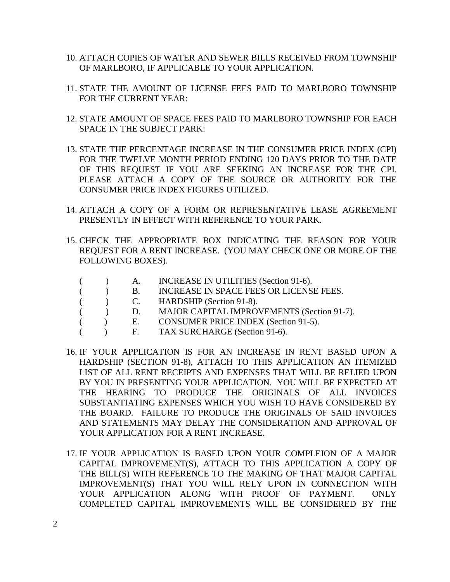- 10. ATTACH COPIES OF WATER AND SEWER BILLS RECEIVED FROM TOWNSHIP OF MARLBORO, IF APPLICABLE TO YOUR APPLICATION.
- 11. STATE THE AMOUNT OF LICENSE FEES PAID TO MARLBORO TOWNSHIP FOR THE CURRENT YEAR:
- 12. STATE AMOUNT OF SPACE FEES PAID TO MARLBORO TOWNSHIP FOR EACH SPACE IN THE SUBJECT PARK:
- 13. STATE THE PERCENTAGE INCREASE IN THE CONSUMER PRICE INDEX (CPI) FOR THE TWELVE MONTH PERIOD ENDING 120 DAYS PRIOR TO THE DATE OF THIS REQUEST IF YOU ARE SEEKING AN INCREASE FOR THE CPI. PLEASE ATTACH A COPY OF THE SOURCE OR AUTHORITY FOR THE CONSUMER PRICE INDEX FIGURES UTILIZED.
- 14. ATTACH A COPY OF A FORM OR REPRESENTATIVE LEASE AGREEMENT PRESENTLY IN EFFECT WITH REFERENCE TO YOUR PARK.
- 15. CHECK THE APPROPRIATE BOX INDICATING THE REASON FOR YOUR REQUEST FOR A RENT INCREASE. (YOU MAY CHECK ONE OR MORE OF THE FOLLOWING BOXES).
	- ( ) A. INCREASE IN UTILITIES (Section 91-6).
		- ( ) B. INCREASE IN SPACE FEES OR LICENSE FEES.
	- ( ) C. HARDSHIP (Section 91-8).
	- ( ) D. MAJOR CAPITAL IMPROVEMENTS (Section 91-7).
		- ( ) E. CONSUMER PRICE INDEX (Section 91-5).
	- ( ) F. TAX SURCHARGE (Section 91-6).
- 16. IF YOUR APPLICATION IS FOR AN INCREASE IN RENT BASED UPON A HARDSHIP (SECTION 91-8), ATTACH TO THIS APPLICATION AN ITEMIZED LIST OF ALL RENT RECEIPTS AND EXPENSES THAT WILL BE RELIED UPON BY YOU IN PRESENTING YOUR APPLICATION. YOU WILL BE EXPECTED AT THE HEARING TO PRODUCE THE ORIGINALS OF ALL INVOICES SUBSTANTIATING EXPENSES WHICH YOU WISH TO HAVE CONSIDERED BY THE BOARD. FAILURE TO PRODUCE THE ORIGINALS OF SAID INVOICES AND STATEMENTS MAY DELAY THE CONSIDERATION AND APPROVAL OF YOUR APPLICATION FOR A RENT INCREASE.
- 17. IF YOUR APPLICATION IS BASED UPON YOUR COMPLEION OF A MAJOR CAPITAL IMPROVEMENT(S), ATTACH TO THIS APPLICATION A COPY OF THE BILL(S) WITH REFERENCE TO THE MAKING OF THAT MAJOR CAPITAL IMPROVEMENT(S) THAT YOU WILL RELY UPON IN CONNECTION WITH YOUR APPLICATION ALONG WITH PROOF OF PAYMENT. ONLY COMPLETED CAPITAL IMPROVEMENTS WILL BE CONSIDERED BY THE